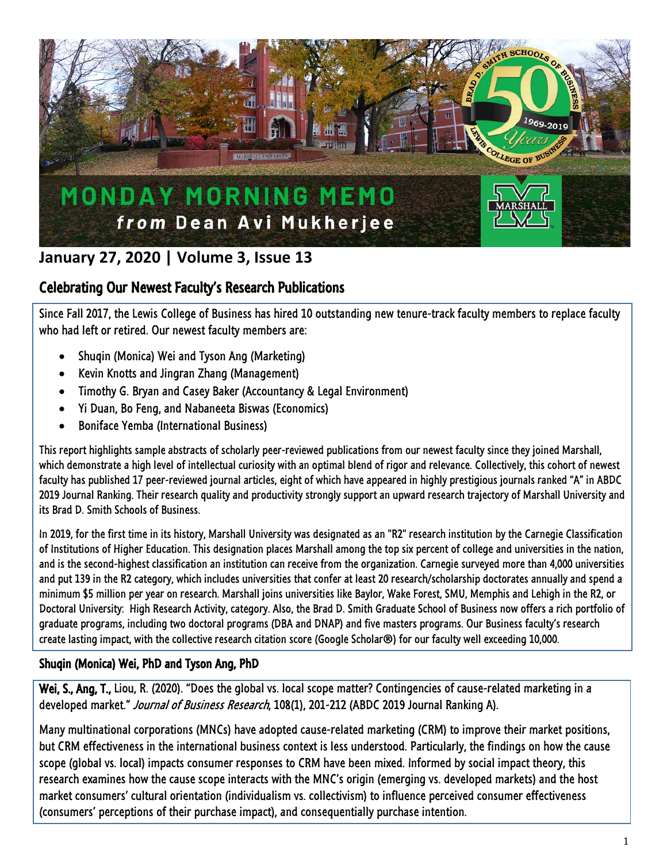

# **January 27, 2020 | Volume 3, Issue 13**

## Celebrating Our Newest Faculty's Research Publications

Since Fall 2017, the Lewis College of Business has hired 10 outstanding new tenure-track faculty members to replace faculty who had left or retired. Our newest faculty members are:

- Shuqin (Monica) Wei and Tyson Ang (Marketing)
- Kevin Knotts and Jingran Zhang (Management)
- Timothy G. Bryan and Casey Baker (Accountancy & Legal Environment)
- Yi Duan, Bo Feng, and Nabaneeta Biswas (Economics)
- Boniface Yemba (International Business)

This report highlights sample abstracts of scholarly peer-reviewed publications from our newest faculty since they joined Marshall, which demonstrate a high level of intellectual curiosity with an optimal blend of rigor and relevance. Collectively, this cohort of newest faculty has published 17 peer-reviewed journal articles, eight of which have appeared in highly prestigious journals ranked "A" in ABDC 2019 Journal Ranking. Their research quality and productivity strongly support an upward research trajectory of Marshall University and its Brad D. Smith Schools of Business.

In 2019, for the first time in its history, Marshall University was designated as an "R2" research institution by the Carnegie Classification of Institutions of Higher Education. This designation places Marshall among the top six percent of college and universities in the nation, and is the second-highest classification an institution can receive from the organization. Carnegie surveyed more than 4,000 universities and put 139 in the R2 category, which includes universities that confer at least 20 research/scholarship doctorates annually and spend a minimum \$5 million per year on research. Marshall joins universities like Baylor, Wake Forest, SMU, Memphis and Lehigh in the R2, or Doctoral University: High Research Activity, category. Also, the Brad D. Smith Graduate School of Business now offers a rich portfolio of graduate programs, including two doctoral programs (DBA and DNAP) and five masters programs. Our Business faculty's research create lasting impact, with the collective research citation score (Google Scholar®) for our faculty well exceeding 10,000.

## Shuqin (Monica) Wei, PhD and Tyson Ang, PhD

Wei, S., Ang, T., Liou, R. (2020). "Does the global vs. local scope matter? Contingencies of cause-related marketing in a developed market." Journal of Business Research, 108(1), 201-212 (ABDC 2019 Journal Ranking A).

Many multinational corporations (MNCs) have adopted cause-related marketing (CRM) to improve their market positions, but CRM effectiveness in the international business context is less understood. Particularly, the findings on how the cause scope (global vs. local) impacts consumer responses to CRM have been mixed. Informed by social impact theory, this research examines how the cause scope interacts with the MNC's origin (emerging vs. developed markets) and the host market consumers' cultural orientation (individualism vs. collectivism) to influence perceived consumer effectiveness (consumers' perceptions of their purchase impact), and consequentially purchase intention.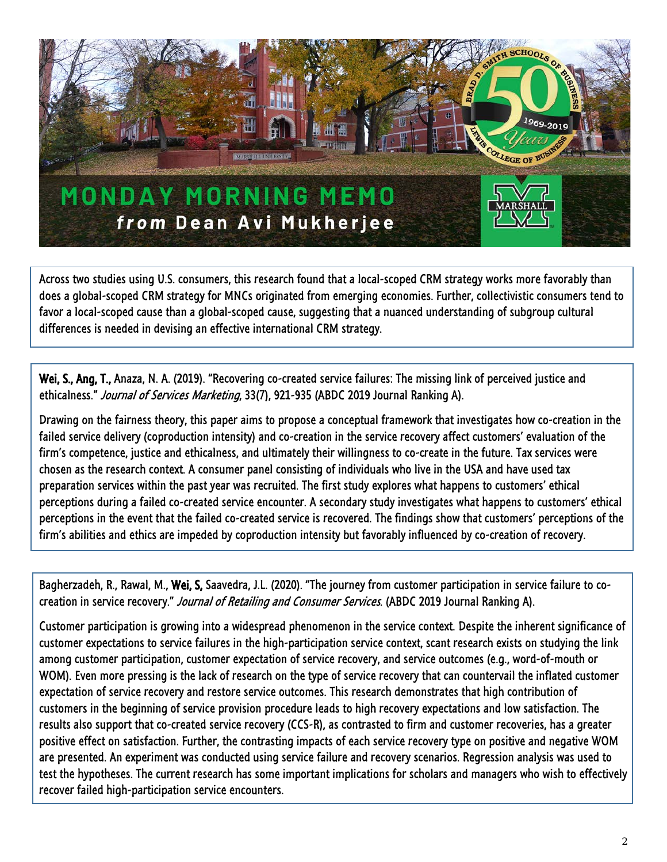

Across two studies using U.S. consumers, this research found that a local-scoped CRM strategy works more favorably than does a global-scoped CRM strategy for MNCs originated from emerging economies. Further, collectivistic consumers tend to favor a local-scoped cause than a global-scoped cause, suggesting that a nuanced understanding of subgroup cultural differences is needed in devising an effective international CRM strategy.

Wei, S., Ang, T., Anaza, N. A. (2019). "Recovering co-created service failures: The missing link of perceived justice and ethicalness." Journal of Services Marketing, 33(7), 921-935 (ABDC 2019 Journal Ranking A).

Drawing on the fairness theory, this paper aims to propose a conceptual framework that investigates how co-creation in the failed service delivery (coproduction intensity) and co-creation in the service recovery affect customers' evaluation of the firm's competence, justice and ethicalness, and ultimately their willingness to co-create in the future. Tax services were chosen as the research context. A consumer panel consisting of individuals who live in the USA and have used tax preparation services within the past year was recruited. The first study explores what happens to customers' ethical perceptions during a failed co-created service encounter. A secondary study investigates what happens to customers' ethical perceptions in the event that the failed co-created service is recovered. The findings show that customers' perceptions of the firm's abilities and ethics are impeded by coproduction intensity but favorably influenced by co-creation of recovery.

Bagherzadeh, R., Rawal, M., Wei, S, Saavedra, J.L. (2020). "The journey from customer participation in service failure to cocreation in service recovery." Journal of Retailing and Consumer Services. (ABDC 2019 Journal Ranking A).

Customer participation is growing into a widespread phenomenon in the service context. Despite the inherent significance of customer expectations to service failures in the high-participation service context, scant research exists on studying the link among customer participation, customer expectation of service recovery, and service outcomes (e.g., word-of-mouth or WOM). Even more pressing is the lack of research on the type of service recovery that can countervail the inflated customer expectation of service recovery and restore service outcomes. This research demonstrates that high contribution of customers in the beginning of service provision procedure leads to high recovery expectations and low satisfaction. The results also support that co-created service recovery (CCS-R), as contrasted to firm and customer recoveries, has a greater positive effect on satisfaction. Further, the contrasting impacts of each service recovery type on positive and negative WOM are presented. An experiment was conducted using service failure and recovery scenarios. Regression analysis was used to test the hypotheses. The current research has some important implications for scholars and managers who wish to effectively recover failed high-participation service encounters.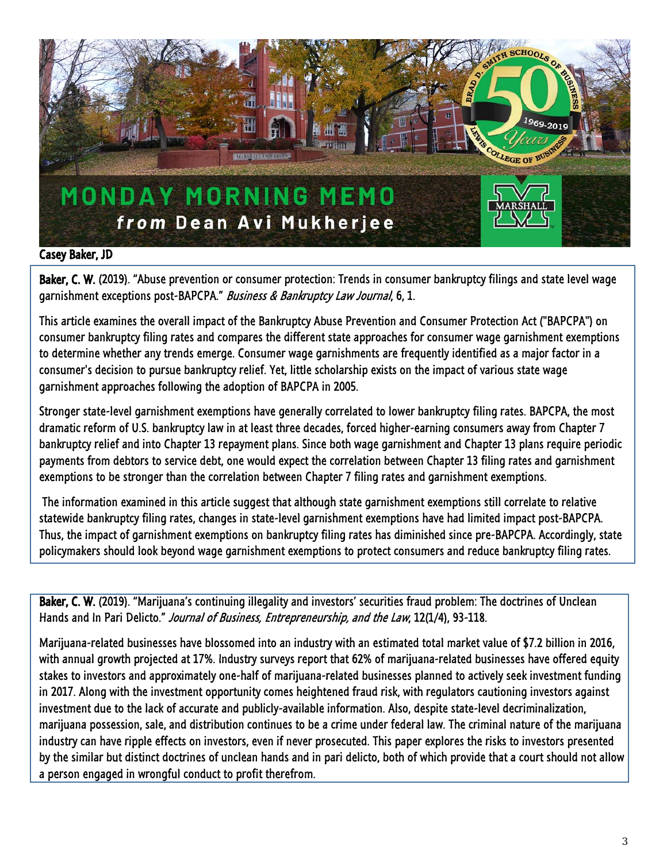

#### Casey Baker, JD

Baker, C. W. (2019). "Abuse prevention or consumer protection: Trends in consumer bankruptcy filings and state level wage garnishment exceptions post-BAPCPA." Business & Bankruptcy Law Journal, 6, 1.

This article examines the overall impact of the Bankruptcy Abuse Prevention and Consumer Protection Act ("BAPCPA") on consumer bankruptcy filing rates and compares the different state approaches for consumer wage garnishment exemptions to determine whether any trends emerge. Consumer wage garnishments are frequently identified as a major factor in a consumer's decision to pursue bankruptcy relief. Yet, little scholarship exists on the impact of various state wage garnishment approaches following the adoption of BAPCPA in 2005.

Stronger state-level garnishment exemptions have generally correlated to lower bankruptcy filing rates. BAPCPA, the most dramatic reform of U.S. bankruptcy law in at least three decades, forced higher-earning consumers away from Chapter 7 bankruptcy relief and into Chapter 13 repayment plans. Since both wage garnishment and Chapter 13 plans require periodic payments from debtors to service debt, one would expect the correlation between Chapter 13 filing rates and garnishment exemptions to be stronger than the correlation between Chapter 7 filing rates and garnishment exemptions.

The information examined in this article suggest that although state garnishment exemptions still correlate to relative statewide bankruptcy filing rates, changes in state-level garnishment exemptions have had limited impact post-BAPCPA. Thus, the impact of garnishment exemptions on bankruptcy filing rates has diminished since pre-BAPCPA. Accordingly, state policymakers should look beyond wage garnishment exemptions to protect consumers and reduce bankruptcy filing rates.

Baker, C. W. (2019). "Marijuana's continuing illegality and investors' securities fraud problem: The doctrines of Unclean Hands and In Pari Delicto." Journal of Business, Entrepreneurship, and the Law, 12(1/4), 93-118.

Marijuana-related businesses have blossomed into an industry with an estimated total market value of \$7.2 billion in 2016, with annual growth projected at 17%. Industry surveys report that 62% of marijuana-related businesses have offered equity stakes to investors and approximately one-half of marijuana-related businesses planned to actively seek investment funding in 2017. Along with the investment opportunity comes heightened fraud risk, with regulators cautioning investors against investment due to the lack of accurate and publicly-available information. Also, despite state-level decriminalization, marijuana possession, sale, and distribution continues to be a crime under federal law. The criminal nature of the marijuana industry can have ripple effects on investors, even if never prosecuted. This paper explores the risks to investors presented by the similar but distinct doctrines of unclean hands and in pari delicto, both of which provide that a court should not allow a person engaged in wrongful conduct to profit therefrom.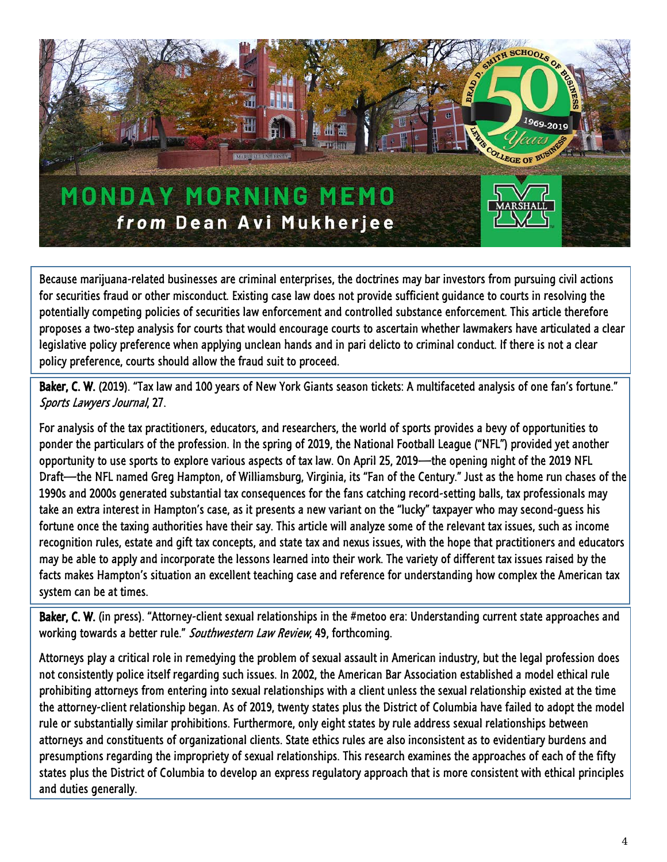

Because marijuana-related businesses are criminal enterprises, the doctrines may bar investors from pursuing civil actions for securities fraud or other misconduct. Existing case law does not provide sufficient guidance to courts in resolving the potentially competing policies of securities law enforcement and controlled substance enforcement. This article therefore proposes a two-step analysis for courts that would encourage courts to ascertain whether lawmakers have articulated a clear legislative policy preference when applying unclean hands and in pari delicto to criminal conduct. If there is not a clear policy preference, courts should allow the fraud suit to proceed.

Baker, C. W. (2019). "Tax law and 100 years of New York Giants season tickets: A multifaceted analysis of one fan's fortune." Sports Lawyers Journal, 27.

For analysis of the tax practitioners, educators, and researchers, the world of sports provides a bevy of opportunities to ponder the particulars of the profession. In the spring of 2019, the National Football League ("NFL") provided yet another opportunity to use sports to explore various aspects of tax law. On April 25, 2019—the opening night of the 2019 NFL Draft—the NFL named Greg Hampton, of Williamsburg, Virginia, its "Fan of the Century." Just as the home run chases of the 1990s and 2000s generated substantial tax consequences for the fans catching record-setting balls, tax professionals may take an extra interest in Hampton's case, as it presents a new variant on the "lucky" taxpayer who may second-guess his fortune once the taxing authorities have their say. This article will analyze some of the relevant tax issues, such as income recognition rules, estate and gift tax concepts, and state tax and nexus issues, with the hope that practitioners and educators may be able to apply and incorporate the lessons learned into their work. The variety of different tax issues raised by the facts makes Hampton's situation an excellent teaching case and reference for understanding how complex the American tax system can be at times.

Baker, C. W. (in press). "Attorney-client sexual relationships in the #metoo era: Understanding current state approaches and working towards a better rule." Southwestern Law Review, 49, forthcoming.

Attorneys play a critical role in remedying the problem of sexual assault in American industry, but the legal profession does not consistently police itself regarding such issues. In 2002, the American Bar Association established a model ethical rule prohibiting attorneys from entering into sexual relationships with a client unless the sexual relationship existed at the time the attorney-client relationship began. As of 2019, twenty states plus the District of Columbia have failed to adopt the model rule or substantially similar prohibitions. Furthermore, only eight states by rule address sexual relationships between attorneys and constituents of organizational clients. State ethics rules are also inconsistent as to evidentiary burdens and presumptions regarding the impropriety of sexual relationships. This research examines the approaches of each of the fifty states plus the District of Columbia to develop an express regulatory approach that is more consistent with ethical principles and duties generally.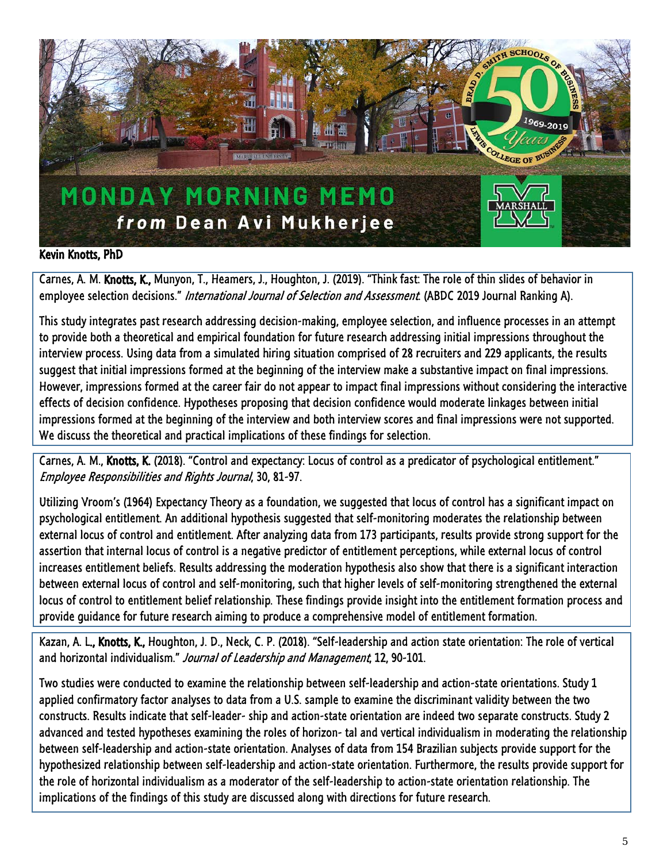

#### Kevin Knotts, PhD

Carnes, A. M. Knotts, K., Munyon, T., Heamers, J., Houghton, J. (2019). "Think fast: The role of thin slides of behavior in employee selection decisions." International Journal of Selection and Assessment. (ABDC 2019 Journal Ranking A).

This study integrates past research addressing decision-making, employee selection, and influence processes in an attempt to provide both a theoretical and empirical foundation for future research addressing initial impressions throughout the interview process. Using data from a simulated hiring situation comprised of 28 recruiters and 229 applicants, the results suggest that initial impressions formed at the beginning of the interview make a substantive impact on final impressions. However, impressions formed at the career fair do not appear to impact final impressions without considering the interactive effects of decision confidence. Hypotheses proposing that decision confidence would moderate linkages between initial impressions formed at the beginning of the interview and both interview scores and final impressions were not supported. We discuss the theoretical and practical implications of these findings for selection.

Carnes, A. M., Knotts, K. (2018). "Control and expectancy: Locus of control as a predicator of psychological entitlement." Employee Responsibilities and Rights Journal, 30, 81-97.

Utilizing Vroom's (1964) Expectancy Theory as a foundation, we suggested that locus of control has a significant impact on psychological entitlement. An additional hypothesis suggested that self-monitoring moderates the relationship between external locus of control and entitlement. After analyzing data from 173 participants, results provide strong support for the assertion that internal locus of control is a negative predictor of entitlement perceptions, while external locus of control increases entitlement beliefs. Results addressing the moderation hypothesis also show that there is a significant interaction between external locus of control and self-monitoring, such that higher levels of self-monitoring strengthened the external locus of control to entitlement belief relationship. These findings provide insight into the entitlement formation process and provide guidance for future research aiming to produce a comprehensive model of entitlement formation.

Kazan, A. L., Knotts, K., Houghton, J. D., Neck, C. P. (2018). "Self-leadership and action state orientation: The role of vertical and horizontal individualism." Journal of Leadership and Management, 12, 90-101.

Two studies were conducted to examine the relationship between self-leadership and action-state orientations. Study 1 applied confirmatory factor analyses to data from a U.S. sample to examine the discriminant validity between the two constructs. Results indicate that self-leader- ship and action-state orientation are indeed two separate constructs. Study 2 advanced and tested hypotheses examining the roles of horizon- tal and vertical individualism in moderating the relationship between self-leadership and action-state orientation. Analyses of data from 154 Brazilian subjects provide support for the hypothesized relationship between self-leadership and action-state orientation. Furthermore, the results provide support for the role of horizontal individualism as a moderator of the self-leadership to action-state orientation relationship. The implications of the findings of this study are discussed along with directions for future research.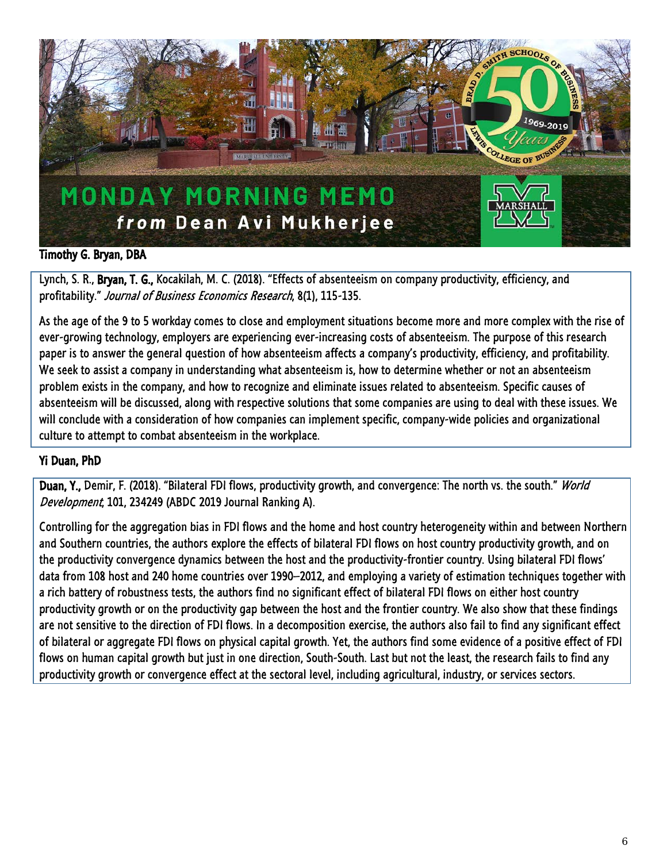

## Timothy G. Bryan, DBA

Lynch, S. R., Bryan, T. G., Kocakilah, M. C. (2018). "Effects of absenteeism on company productivity, efficiency, and profitability." Journal of Business Economics Research, 8(1), 115-135.

As the age of the 9 to 5 workday comes to close and employment situations become more and more complex with the rise of ever-growing technology, employers are experiencing ever-increasing costs of absenteeism. The purpose of this research paper is to answer the general question of how absenteeism affects a company's productivity, efficiency, and profitability. We seek to assist a company in understanding what absenteeism is, how to determine whether or not an absenteeism problem exists in the company, and how to recognize and eliminate issues related to absenteeism. Specific causes of absenteeism will be discussed, along with respective solutions that some companies are using to deal with these issues. We will conclude with a consideration of how companies can implement specific, company-wide policies and organizational culture to attempt to combat absenteeism in the workplace.

#### Yi Duan, PhD

Duan, Y., Demir, F. (2018). "Bilateral FDI flows, productivity growth, and convergence: The north vs. the south." World Development, 101, 234249 (ABDC 2019 Journal Ranking A).

Controlling for the aggregation bias in FDI flows and the home and host country heterogeneity within and between Northern and Southern countries, the authors explore the effects of bilateral FDI flows on host country productivity growth, and on the productivity convergence dynamics between the host and the productivity-frontier country. Using bilateral FDI flows' data from 108 host and 240 home countries over 1990–2012, and employing a variety of estimation techniques together with a rich battery of robustness tests, the authors find no significant effect of bilateral FDI flows on either host country productivity growth or on the productivity gap between the host and the frontier country. We also show that these findings are not sensitive to the direction of FDI flows. In a decomposition exercise, the authors also fail to find any significant effect of bilateral or aggregate FDI flows on physical capital growth. Yet, the authors find some evidence of a positive effect of FDI flows on human capital growth but just in one direction, South-South. Last but not the least, the research fails to find any productivity growth or convergence effect at the sectoral level, including agricultural, industry, or services sectors.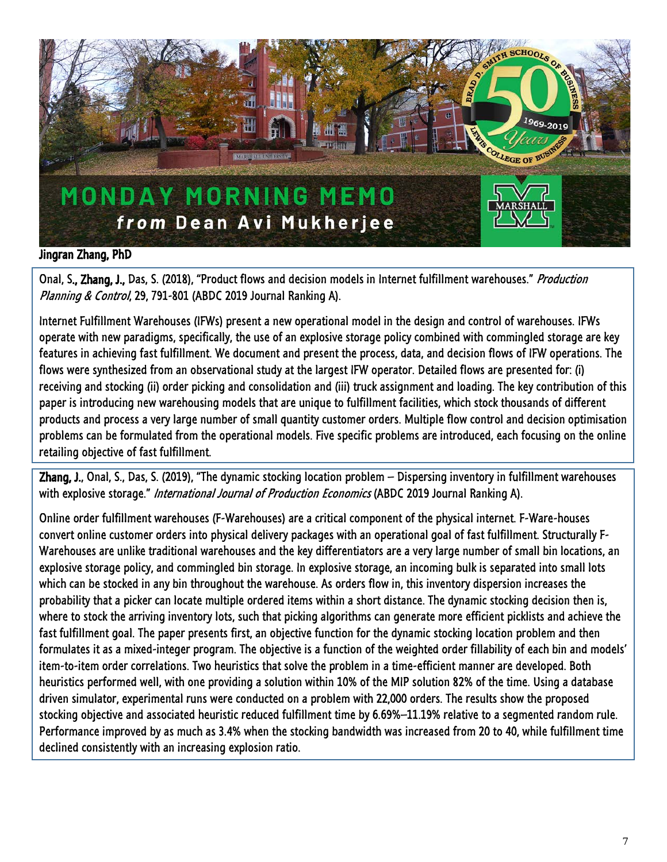

## Jingran Zhang, PhD

Onal, S., Zhang, J., Das, S. (2018), "Product flows and decision models in Internet fulfillment warehouses." Production Planning & Control, 29, 791-801 (ABDC 2019 Journal Ranking A).

Internet Fulfillment Warehouses (IFWs) present a new operational model in the design and control of warehouses. IFWs operate with new paradigms, specifically, the use of an explosive storage policy combined with commingled storage are key features in achieving fast fulfillment. We document and present the process, data, and decision flows of IFW operations. The flows were synthesized from an observational study at the largest IFW operator. Detailed flows are presented for: (i) receiving and stocking (ii) order picking and consolidation and (iii) truck assignment and loading. The key contribution of this paper is introducing new warehousing models that are unique to fulfillment facilities, which stock thousands of different products and process a very large number of small quantity customer orders. Multiple flow control and decision optimisation problems can be formulated from the operational models. Five specific problems are introduced, each focusing on the online retailing objective of fast fulfillment.

Zhang, J., Onal, S., Das, S. (2019), "The dynamic stocking location problem – Dispersing inventory in fulfillment warehouses with explosive storage." *International Journal of Production Economics* (ABDC 2019 Journal Ranking A).

Online order fulfillment warehouses (F-Warehouses) are a critical component of the physical internet. F-Ware-houses convert online customer orders into physical delivery packages with an operational goal of fast fulfillment. Structurally F-Warehouses are unlike traditional warehouses and the key differentiators are a very large number of small bin locations, an explosive storage policy, and commingled bin storage. In explosive storage, an incoming bulk is separated into small lots which can be stocked in any bin throughout the warehouse. As orders flow in, this inventory dispersion increases the probability that a picker can locate multiple ordered items within a short distance. The dynamic stocking decision then is, where to stock the arriving inventory lots, such that picking algorithms can generate more efficient picklists and achieve the fast fulfillment goal. The paper presents first, an objective function for the dynamic stocking location problem and then formulates it as a mixed-integer program. The objective is a function of the weighted order fillability of each bin and models' item-to-item order correlations. Two heuristics that solve the problem in a time-efficient manner are developed. Both heuristics performed well, with one providing a solution within 10% of the MIP solution 82% of the time. Using a database driven simulator, experimental runs were conducted on a problem with 22,000 orders. The results show the proposed stocking objective and associated heuristic reduced fulfillment time by 6.69%–11.19% relative to a segmented random rule. Performance improved by as much as 3.4% when the stocking bandwidth was increased from 20 to 40, while fulfillment time declined consistently with an increasing explosion ratio.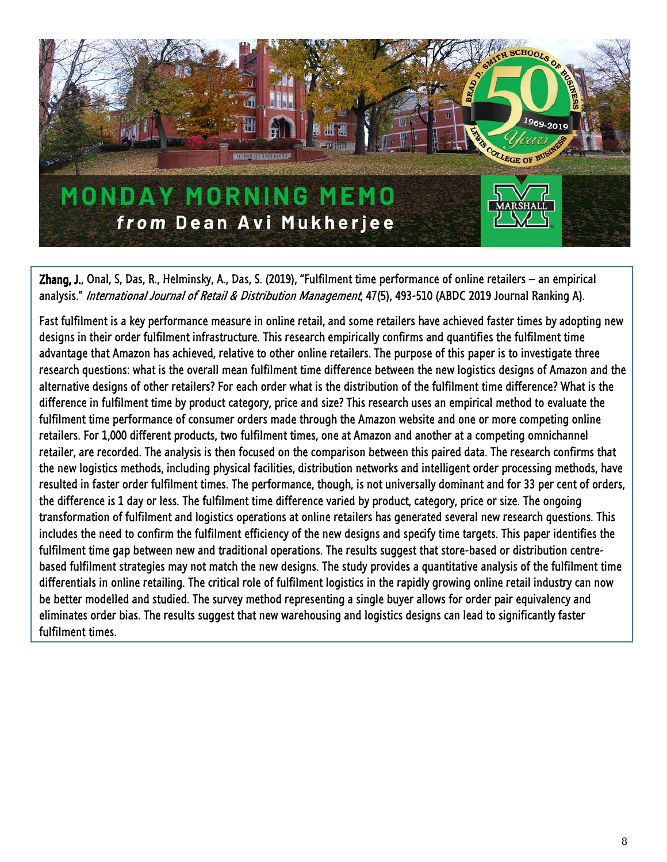

Zhang, J., Onal, S, Das, R., Helminsky, A., Das, S. (2019), "Fulfilment time performance of online retailers – an empirical analysis." International Journal of Retail & Distribution Management, 47(5), 493-510 (ABDC 2019 Journal Ranking A).

Fast fulfilment is a key performance measure in online retail, and some retailers have achieved faster times by adopting new designs in their order fulfilment infrastructure. This research empirically confirms and quantifies the fulfilment time advantage that Amazon has achieved, relative to other online retailers. The purpose of this paper is to investigate three research questions: what is the overall mean fulfilment time difference between the new logistics designs of Amazon and the alternative designs of other retailers? For each order what is the distribution of the fulfilment time difference? What is the difference in fulfilment time by product category, price and size? This research uses an empirical method to evaluate the fulfilment time performance of consumer orders made through the Amazon website and one or more competing online retailers. For 1,000 different products, two fulfilment times, one at Amazon and another at a competing omnichannel retailer, are recorded. The analysis is then focused on the comparison between this paired data. The research confirms that the new logistics methods, including physical facilities, distribution networks and intelligent order processing methods, have resulted in faster order fulfilment times. The performance, though, is not universally dominant and for 33 per cent of orders, the difference is 1 day or less. The fulfilment time difference varied by product, category, price or size. The ongoing transformation of fulfilment and logistics operations at online retailers has generated several new research questions. This includes the need to confirm the fulfilment efficiency of the new designs and specify time targets. This paper identifies the fulfilment time gap between new and traditional operations. The results suggest that store-based or distribution centrebased fulfilment strategies may not match the new designs. The study provides a quantitative analysis of the fulfilment time differentials in online retailing. The critical role of fulfilment logistics in the rapidly growing online retail industry can now be better modelled and studied. The survey method representing a single buyer allows for order pair equivalency and eliminates order bias. The results suggest that new warehousing and logistics designs can lead to significantly faster fulfilment times.